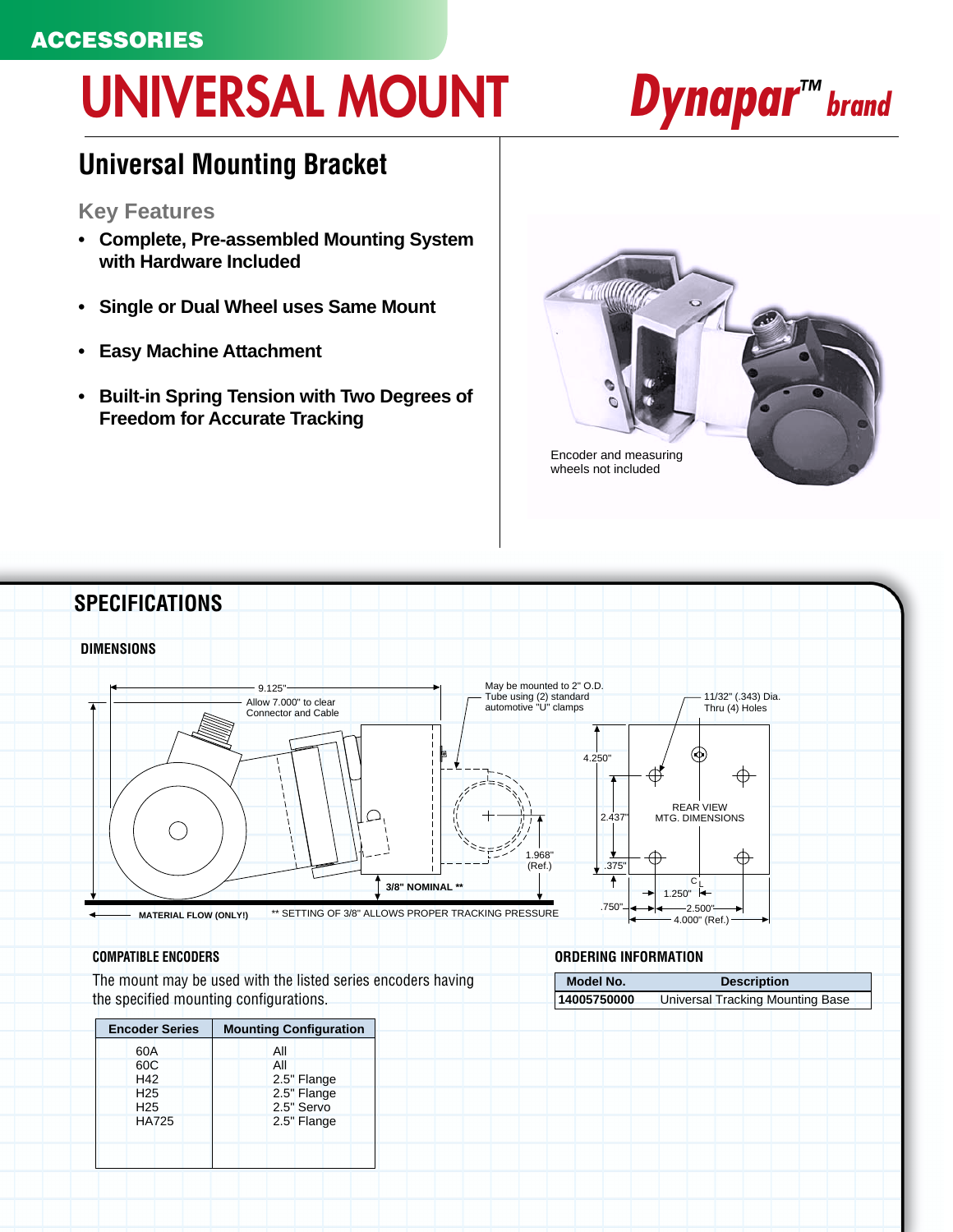### **ACCESSORIES**

# **UNIVERSAL MOUNT**

# *Dynapar<sup>™</sup> brand*

### **Universal Mounting Bracket**

#### **Key Features**

- **Complete, Pre-assembled Mounting System with Hardware Included**
- **Single or Dual Wheel uses Same Mount**
- **Easy Machine Attachment**
- **Built-in Spring Tension with Two Degrees of Freedom for Accurate Tracking**





The mount may be used with the listed series encoders having the specified mounting configurations.

| <b>Encoder Series</b> |                 |  | <b>Mounting Configuration</b> |  |     |             |  |  |
|-----------------------|-----------------|--|-------------------------------|--|-----|-------------|--|--|
|                       | 60A             |  |                               |  | All |             |  |  |
|                       | 60C             |  |                               |  | All |             |  |  |
|                       | H42             |  |                               |  |     | 2.5" Flange |  |  |
|                       | H <sub>25</sub> |  |                               |  |     | 2.5" Flange |  |  |
|                       | H <sub>25</sub> |  |                               |  |     | 2.5" Servo  |  |  |
|                       | <b>HA725</b>    |  |                               |  |     | 2.5" Flange |  |  |

#### **COMPATIBLE ENCODERS ORDERING INFORMATION**

| Model No.   | <b>Description</b>               |  |  |  |  |  |  |
|-------------|----------------------------------|--|--|--|--|--|--|
| 14005750000 | Universal Tracking Mounting Base |  |  |  |  |  |  |
|             |                                  |  |  |  |  |  |  |
|             |                                  |  |  |  |  |  |  |
|             |                                  |  |  |  |  |  |  |
|             |                                  |  |  |  |  |  |  |
|             |                                  |  |  |  |  |  |  |
|             |                                  |  |  |  |  |  |  |
|             |                                  |  |  |  |  |  |  |
|             |                                  |  |  |  |  |  |  |
|             |                                  |  |  |  |  |  |  |